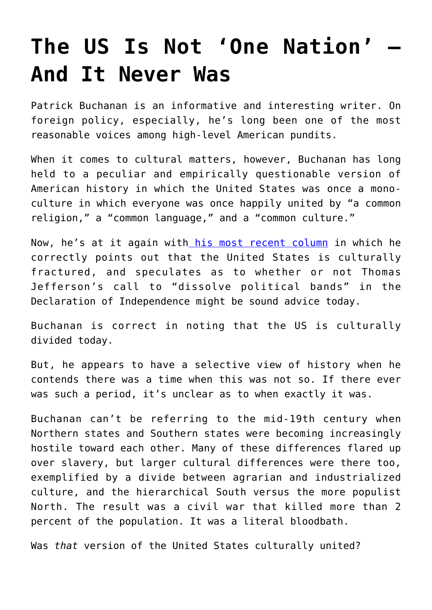## **[The US Is Not 'One Nation' —](https://intellectualtakeout.org/2017/07/the-us-is-not-one-nation-and-it-never-was/) [And It Never Was](https://intellectualtakeout.org/2017/07/the-us-is-not-one-nation-and-it-never-was/)**

Patrick Buchanan is an informative and interesting writer. On foreign policy, especially, he's long been one of the most reasonable voices among high-level American pundits.

When it comes to cultural matters, however, Buchanan has long held to a peculiar and empirically questionable version of American history in which the United States was once a monoculture in which everyone was once happily united by "a common religion," a "common language," and a "common culture."

Now, he's at it again with [his most recent column](https://www.lewrockwell.com/2017/07/patrick-j-buchanan/america-still-nation/) in which he correctly points out that the United States is culturally fractured, and speculates as to whether or not Thomas Jefferson's call to "dissolve political bands" in the Declaration of Independence might be sound advice today.

Buchanan is correct in noting that the US is culturally divided today.

But, he appears to have a selective view of history when he contends there was a time when this was not so. If there ever was such a period, it's unclear as to when exactly it was.

Buchanan can't be referring to the mid-19th century when Northern states and Southern states were becoming increasingly hostile toward each other. Many of these differences flared up over slavery, but larger cultural differences were there too, exemplified by a divide between agrarian and industrialized culture, and the hierarchical South versus the more populist North. The result was a civil war that killed more than 2 percent of the population. It was a literal bloodbath.

Was *that* version of the United States culturally united?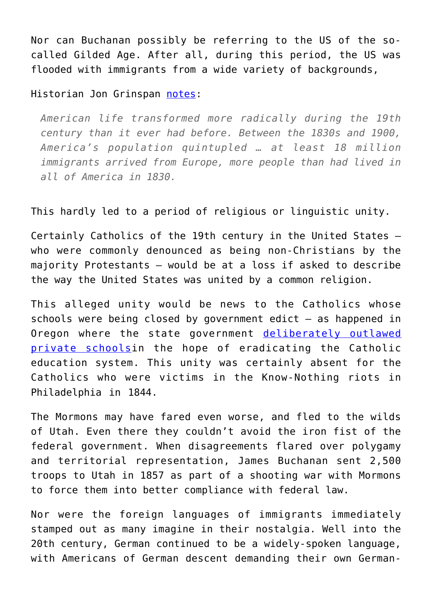Nor can Buchanan possibly be referring to the US of the socalled Gilded Age. After all, during this period, the US was flooded with immigrants from a wide variety of backgrounds,

Historian Jon Grinspan [notes](https://mises.org/blog/nasty-politics-and-low-information-voters-are-nothing-new):

*American life transformed more radically during the 19th century than it ever had before. Between the 1830s and 1900, America's population quintupled … at least 18 million immigrants arrived from Europe, more people than had lived in all of America in 1830.*

This hardly led to a period of religious or linguistic unity.

Certainly Catholics of the 19th century in the United States who were commonly denounced as being non-Christians by the majority Protestants — would be at a loss if asked to describe the way the United States was united by a common religion.

This alleged unity would be news to the Catholics whose schools were being closed by government edict — as happened in Oregon where the state government [deliberately outlawed](https://en.wikipedia.org/wiki/Oregon_Compulsory_Education_Act) [private schoolsi](https://en.wikipedia.org/wiki/Oregon_Compulsory_Education_Act)n the hope of eradicating the Catholic education system. This unity was certainly absent for the Catholics who were victims in the Know-Nothing riots in Philadelphia in 1844.

The Mormons may have fared even worse, and fled to the wilds of Utah. Even there they couldn't avoid the iron fist of the federal government. When disagreements flared over polygamy and territorial representation, James Buchanan sent 2,500 troops to Utah in 1857 as part of a shooting war with Mormons to force them into better compliance with federal law.

Nor were the foreign languages of immigrants immediately stamped out as many imagine in their nostalgia. Well into the 20th century, German continued to be a widely-spoken language, with Americans of German descent demanding their own German-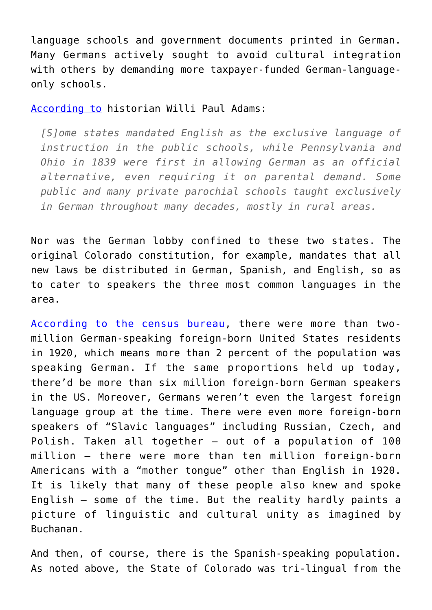language schools and government documents printed in German. Many Germans actively sought to avoid cultural integration with others by demanding more taxpayer-funded German-languageonly schools.

[According to](https://books.google.com/books?id=XwO7_JYLTMQC&pg=PA109&lpg=PA109&dq=%22Some+states+mandated+English+as+the+exclusive+language+of+instruction+in+the+public+schools,+while+Pennsylvania+and+Ohio+in+1839+were+first+in+allowing+German+as+an+official+alternative,+even+requiring+it+on+parental+demand%22.&source=bl&ots=AEDVIsmtxq&sig=eOZE7afUA5RkV73njv7obCUvR8g&hl=en&sa=X&ved=0ahUKEwi1i56jt_XUAhVB12MKHfMuDXAQ6AEILjAB#v=onepage&q=%22Some%20states%20mandated%20English%20as%20the%20exclusive%20language%20of%20instruction%20in%20the%20public%20schools%2C%20while%20Pennsylvania%20and%20Ohio%20in%201839%20were%20first%20in%20allowing%20German%20as%20an%20official%20alternative%2C%20even%20requiring%20it%20on%20parental%20demand%22.&f=false) historian Willi Paul Adams:

*[S]ome states mandated English as the exclusive language of instruction in the public schools, while Pennsylvania and Ohio in 1839 were first in allowing German as an official alternative, even requiring it on parental demand. Some public and many private parochial schools taught exclusively in German throughout many decades, mostly in rural areas.*

Nor was the German lobby confined to these two states. The original Colorado constitution, for example, mandates that all new laws be distributed in German, Spanish, and English, so as to cater to speakers the three most common languages in the area.

[According to the census bureau](https://www.census.gov/population/www/documentation/twps0029/tab06.html), there were more than twomillion German-speaking foreign-born United States residents in 1920, which means more than 2 percent of the population was speaking German. If the same proportions held up today, there'd be more than six million foreign-born German speakers in the US. Moreover, Germans weren't even the largest foreign language group at the time. There were even more foreign-born speakers of "Slavic languages" including Russian, Czech, and Polish. Taken all together — out of a population of 100 million — there were more than ten million foreign-born Americans with a "mother tongue" other than English in 1920. It is likely that many of these people also knew and spoke English — some of the time. But the reality hardly paints a picture of linguistic and cultural unity as imagined by Buchanan.

And then, of course, there is the Spanish-speaking population. As noted above, the State of Colorado was tri-lingual from the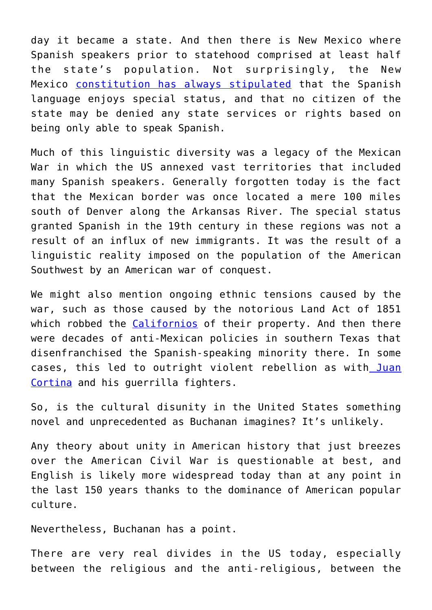day it became a state. And then there is New Mexico where Spanish speakers prior to statehood comprised at least half the state's population. Not surprisingly, the New Mexico [constitution has always stipulated](https://www.abqjournal.com/208492/spanish-not-enshrined-as-official-nm-language.html) that the Spanish language enjoys special status, and that no citizen of the state may be denied any state services or rights based on being only able to speak Spanish.

Much of this linguistic diversity was a legacy of the Mexican War in which the US annexed vast territories that included many Spanish speakers. Generally forgotten today is the fact that the Mexican border was once located a mere 100 miles south of Denver along the Arkansas River. The special status granted Spanish in the 19th century in these regions was not a result of an influx of new immigrants. It was the result of a linguistic reality imposed on the population of the American Southwest by an American war of conquest.

We might also mention ongoing ethnic tensions caused by the war, such as those caused by the notorious Land Act of 1851 which robbed the [Californios](https://en.wikipedia.org/wiki/Californio) of their property. And then there were decades of anti-Mexican policies in southern Texas that disenfranchised the Spanish-speaking minority there. In some cases, this led to outright violent rebellion as with [Juan](https://en.wikipedia.org/wiki/Juan_Cortina) [Cortina](https://en.wikipedia.org/wiki/Juan_Cortina) and his guerrilla fighters.

So, is the cultural disunity in the United States something novel and unprecedented as Buchanan imagines? It's unlikely.

Any theory about unity in American history that just breezes over the American Civil War is questionable at best, and English is likely more widespread today than at any point in the last 150 years thanks to the dominance of American popular culture.

Nevertheless, Buchanan has a point.

There are very real divides in the US today, especially between the religious and the anti-religious, between the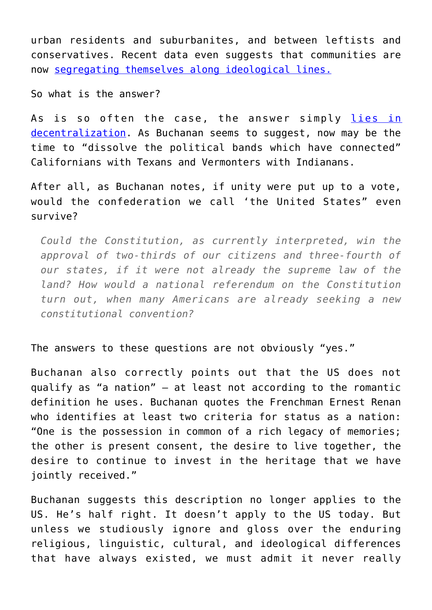urban residents and suburbanites, and between leftists and conservatives. Recent data even suggests that communities are now [segregating themselves along ideological lines.](http://www.economist.com/node/11581447)

So what is the answer?

As is so often the case, the answer simply [lies in](https://mises.org/blog/america-really-coming-apart-charles-murray-suggests) [decentralization.](https://mises.org/blog/america-really-coming-apart-charles-murray-suggests) As Buchanan seems to suggest, now may be the time to "dissolve the political bands which have connected" Californians with Texans and Vermonters with Indianans.

After all, as Buchanan notes, if unity were put up to a vote, would the confederation we call 'the United States" even survive?

*Could the Constitution, as currently interpreted, win the approval of two-thirds of our citizens and three-fourth of our states, if it were not already the supreme law of the land? How would a national referendum on the Constitution turn out, when many Americans are already seeking a new constitutional convention?*

The answers to these questions are not obviously "yes."

Buchanan also correctly points out that the US does not qualify as "a nation" — at least not according to the romantic definition he uses. Buchanan quotes the Frenchman Ernest Renan who identifies at least two criteria for status as a nation: "One is the possession in common of a rich legacy of memories; the other is present consent, the desire to live together, the desire to continue to invest in the heritage that we have jointly received."

Buchanan suggests this description no longer applies to the US. He's half right. It doesn't apply to the US today. But unless we studiously ignore and gloss over the enduring religious, linguistic, cultural, and ideological differences that have always existed, we must admit it never really